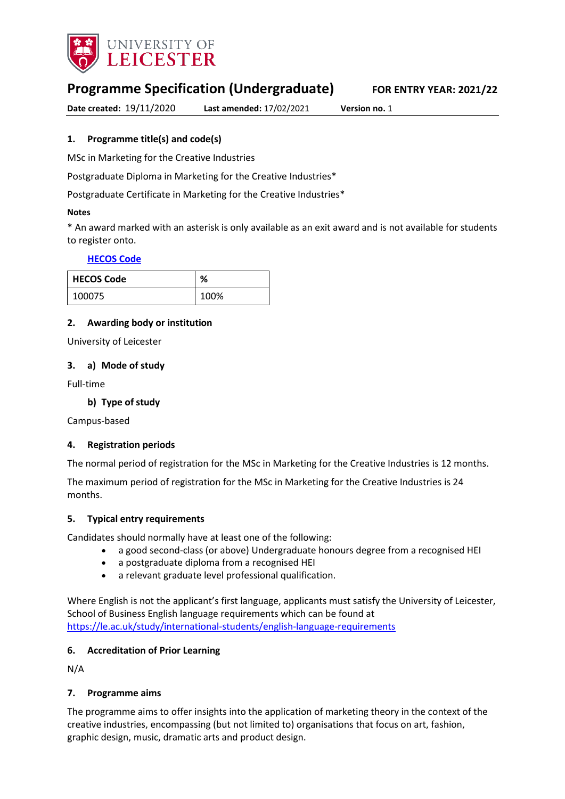

# **Programme Specification (Undergraduate) FOR ENTRY YEAR: 2021/22**

**Date created:** 19/11/2020 **Last amended:** 17/02/2021 **Version no.** 1

### <span id="page-0-0"></span>**1. Programme title(s) and code(s)**

MSc in Marketing for the Creative Industries

Postgraduate Diploma in Marketing for the Creative Industries\*

Postgraduate Certificate in Marketing for the Creative Industries\*

#### **Notes**

\* An award marked with an asterisk is only available as an exit award and is not available for students to register onto.

### **[HECOS Code](https://www.hesa.ac.uk/innovation/hecos)**

| <b>HECOS Code</b> | ℅    |
|-------------------|------|
| 100075            | 100% |

### **2. Awarding body or institution**

University of Leicester

### **3. a) Mode of study**

Full-time

### **b) Type of study**

Campus-based

### **4. Registration periods**

The normal period of registration for the MSc in Marketing for the Creative Industries is 12 months.

The maximum period of registration for the MSc in Marketing for the Creative Industries is 24 months.

### **5. Typical entry requirements**

Candidates should normally have at least one of the following: 

- a good second-class (or above) Undergraduate honours degree from a recognised HEI
- a postgraduate diploma from a recognised HEI
- a relevant graduate level professional qualification.

Where English is not the applicant's first language, applicants must satisfy the University of Leicester, School of Business English language requirements which can be found at <https://le.ac.uk/study/international-students/english-language-requirements>

### **6. Accreditation of Prior Learning**

N/A

### **7. Programme aims**

The programme aims to offer insights into the application of marketing theory in the context of the creative industries, encompassing (but not limited to) organisations that focus on art, fashion, graphic design, music, dramatic arts and product design.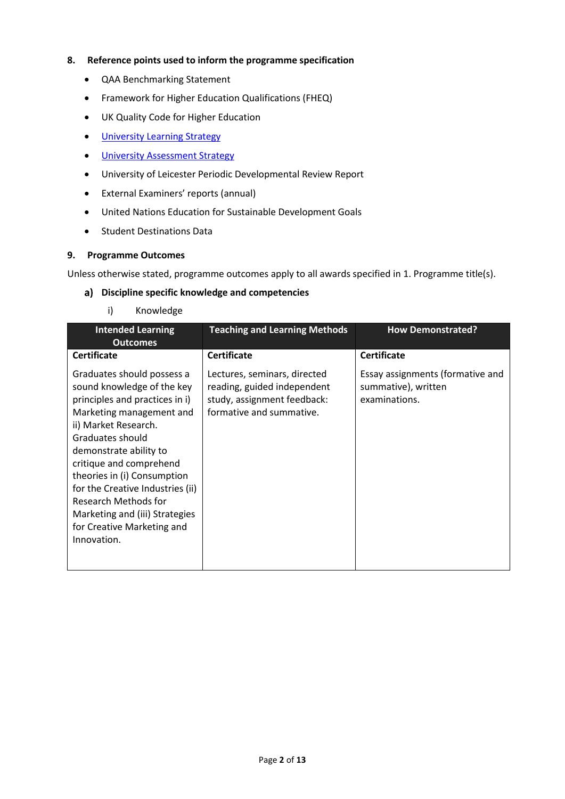### **8. Reference points used to inform the programme specification**

- QAA Benchmarking Statement
- Framework for Higher Education Qualifications (FHEQ)
- UK Quality Code for Higher Education
- **•** [University Learning](https://www2.le.ac.uk/offices/sas2/quality/learnteach) Strategy
- **•** [University Assessment Strategy](https://www2.le.ac.uk/offices/sas2/quality/learnteach)
- University of Leicester Periodic Developmental Review Report
- External Examiners' reports (annual)
- United Nations Education for Sustainable Development Goals
- Student Destinations Data

### **9. Programme Outcomes**

Unless otherwise stated, programme outcomes apply to all awards specified in [1.](#page-0-0) Programme title(s).

### **Discipline specific knowledge and competencies**

i) Knowledge

| <b>Intended Learning</b><br><b>Outcomes</b>                                                                                                                                                                                                                                                                                                                                                       | <b>Teaching and Learning Methods</b>                                                                                   | <b>How Demonstrated?</b>                                                 |
|---------------------------------------------------------------------------------------------------------------------------------------------------------------------------------------------------------------------------------------------------------------------------------------------------------------------------------------------------------------------------------------------------|------------------------------------------------------------------------------------------------------------------------|--------------------------------------------------------------------------|
| <b>Certificate</b>                                                                                                                                                                                                                                                                                                                                                                                | <b>Certificate</b>                                                                                                     | <b>Certificate</b>                                                       |
| Graduates should possess a<br>sound knowledge of the key<br>principles and practices in i)<br>Marketing management and<br>ii) Market Research.<br>Graduates should<br>demonstrate ability to<br>critique and comprehend<br>theories in (i) Consumption<br>for the Creative Industries (ii)<br>Research Methods for<br>Marketing and (iii) Strategies<br>for Creative Marketing and<br>Innovation. | Lectures, seminars, directed<br>reading, guided independent<br>study, assignment feedback:<br>formative and summative. | Essay assignments (formative and<br>summative), written<br>examinations. |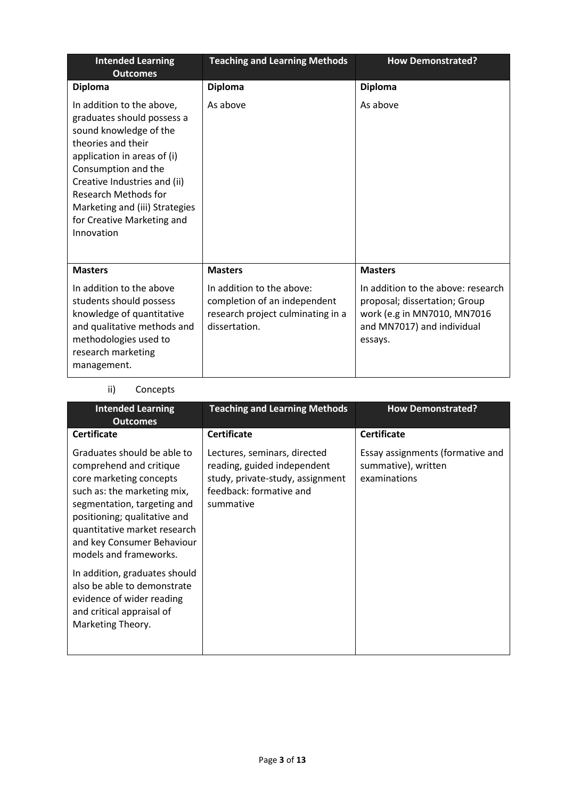| <b>Intended Learning</b><br><b>Outcomes</b>                                                                                                                                                                                                                                                                | <b>Teaching and Learning Methods</b>                                                                            | <b>How Demonstrated?</b>                                                                                                                    |
|------------------------------------------------------------------------------------------------------------------------------------------------------------------------------------------------------------------------------------------------------------------------------------------------------------|-----------------------------------------------------------------------------------------------------------------|---------------------------------------------------------------------------------------------------------------------------------------------|
| <b>Diploma</b>                                                                                                                                                                                                                                                                                             | <b>Diploma</b>                                                                                                  | <b>Diploma</b>                                                                                                                              |
| In addition to the above,<br>graduates should possess a<br>sound knowledge of the<br>theories and their<br>application in areas of (i)<br>Consumption and the<br>Creative Industries and (ii)<br><b>Research Methods for</b><br>Marketing and (iii) Strategies<br>for Creative Marketing and<br>Innovation | As above                                                                                                        | As above                                                                                                                                    |
| <b>Masters</b>                                                                                                                                                                                                                                                                                             | <b>Masters</b>                                                                                                  | <b>Masters</b>                                                                                                                              |
| In addition to the above<br>students should possess<br>knowledge of quantitative<br>and qualitative methods and<br>methodologies used to<br>research marketing<br>management.                                                                                                                              | In addition to the above:<br>completion of an independent<br>research project culminating in a<br>dissertation. | In addition to the above: research<br>proposal; dissertation; Group<br>work (e.g in MN7010, MN7016<br>and MN7017) and individual<br>essays. |

## ii) Concepts

| <b>Intended Learning</b><br><b>Outcomes</b>                                                                                                                                                                                                                             | <b>Teaching and Learning Methods</b>                                                                                                    | <b>How Demonstrated?</b>                                                |
|-------------------------------------------------------------------------------------------------------------------------------------------------------------------------------------------------------------------------------------------------------------------------|-----------------------------------------------------------------------------------------------------------------------------------------|-------------------------------------------------------------------------|
| <b>Certificate</b>                                                                                                                                                                                                                                                      | <b>Certificate</b>                                                                                                                      | <b>Certificate</b>                                                      |
| Graduates should be able to<br>comprehend and critique<br>core marketing concepts<br>such as: the marketing mix,<br>segmentation, targeting and<br>positioning; qualitative and<br>quantitative market research<br>and key Consumer Behaviour<br>models and frameworks. | Lectures, seminars, directed<br>reading, guided independent<br>study, private-study, assignment<br>feedback: formative and<br>summative | Essay assignments (formative and<br>summative), written<br>examinations |
| In addition, graduates should<br>also be able to demonstrate<br>evidence of wider reading<br>and critical appraisal of<br>Marketing Theory.                                                                                                                             |                                                                                                                                         |                                                                         |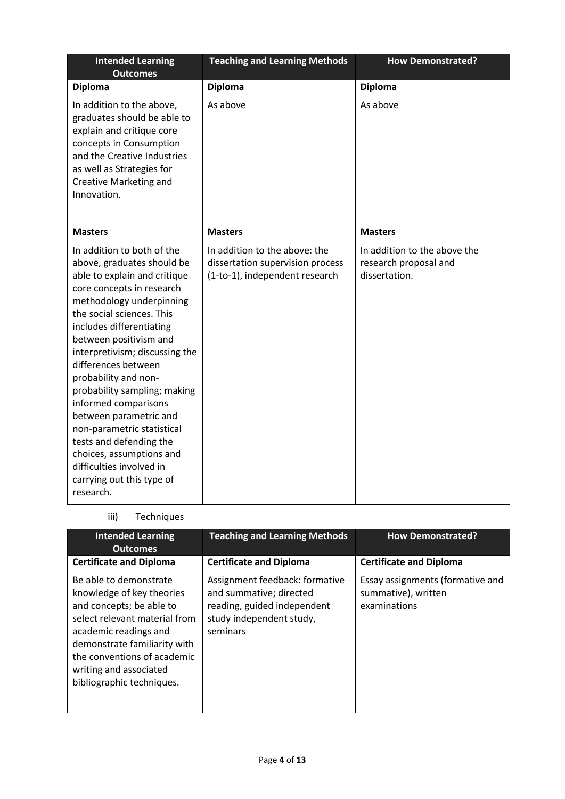| <b>Intended Learning</b><br><b>Outcomes</b>                                                                                                                                                                                                                                                                                                                                                                                                                                                                                                                        | <b>Teaching and Learning Methods</b>                                                                | <b>How Demonstrated?</b>                                               |
|--------------------------------------------------------------------------------------------------------------------------------------------------------------------------------------------------------------------------------------------------------------------------------------------------------------------------------------------------------------------------------------------------------------------------------------------------------------------------------------------------------------------------------------------------------------------|-----------------------------------------------------------------------------------------------------|------------------------------------------------------------------------|
| <b>Diploma</b>                                                                                                                                                                                                                                                                                                                                                                                                                                                                                                                                                     | <b>Diploma</b>                                                                                      | <b>Diploma</b>                                                         |
| In addition to the above,<br>graduates should be able to<br>explain and critique core<br>concepts in Consumption<br>and the Creative Industries<br>as well as Strategies for<br>Creative Marketing and<br>Innovation.                                                                                                                                                                                                                                                                                                                                              | As above                                                                                            | As above                                                               |
| <b>Masters</b>                                                                                                                                                                                                                                                                                                                                                                                                                                                                                                                                                     | <b>Masters</b>                                                                                      | <b>Masters</b>                                                         |
| In addition to both of the<br>above, graduates should be<br>able to explain and critique<br>core concepts in research<br>methodology underpinning<br>the social sciences. This<br>includes differentiating<br>between positivism and<br>interpretivism; discussing the<br>differences between<br>probability and non-<br>probability sampling; making<br>informed comparisons<br>between parametric and<br>non-parametric statistical<br>tests and defending the<br>choices, assumptions and<br>difficulties involved in<br>carrying out this type of<br>research. | In addition to the above: the<br>dissertation supervision process<br>(1-to-1), independent research | In addition to the above the<br>research proposal and<br>dissertation. |

# iii) Techniques

| <b>Intended Learning</b><br><b>Outcomes</b>                                                                                                                                                                                                                     | <b>Teaching and Learning Methods</b>                                                                                             | <b>How Demonstrated?</b>                                                |
|-----------------------------------------------------------------------------------------------------------------------------------------------------------------------------------------------------------------------------------------------------------------|----------------------------------------------------------------------------------------------------------------------------------|-------------------------------------------------------------------------|
| <b>Certificate and Diploma</b>                                                                                                                                                                                                                                  | <b>Certificate and Diploma</b>                                                                                                   | <b>Certificate and Diploma</b>                                          |
| Be able to demonstrate<br>knowledge of key theories<br>and concepts; be able to<br>select relevant material from<br>academic readings and<br>demonstrate familiarity with<br>the conventions of academic<br>writing and associated<br>bibliographic techniques. | Assignment feedback: formative<br>and summative; directed<br>reading, guided independent<br>study independent study,<br>seminars | Essay assignments (formative and<br>summative), written<br>examinations |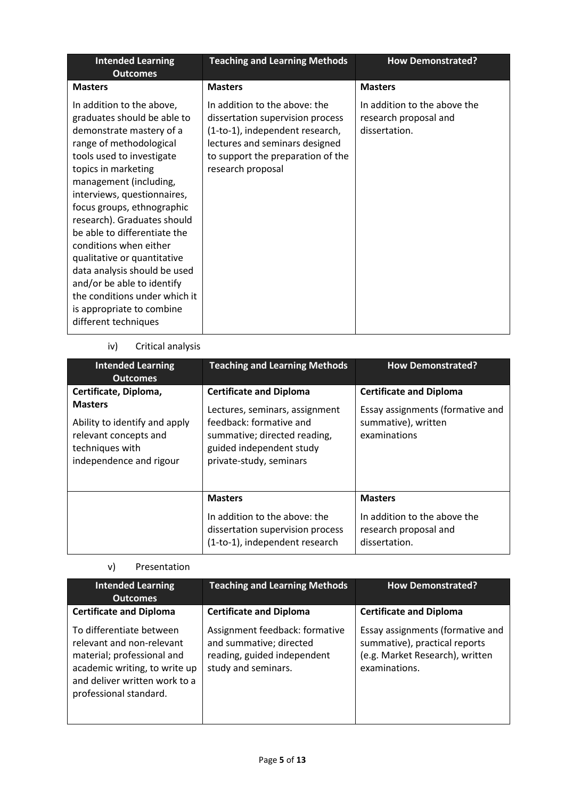| <b>Intended Learning</b><br><b>Outcomes</b>                                                                                                                                                                                                                                                                                                                                                                                                                                                                                            | <b>Teaching and Learning Methods</b>                                                                                                                                                             | <b>How Demonstrated?</b>                                               |
|----------------------------------------------------------------------------------------------------------------------------------------------------------------------------------------------------------------------------------------------------------------------------------------------------------------------------------------------------------------------------------------------------------------------------------------------------------------------------------------------------------------------------------------|--------------------------------------------------------------------------------------------------------------------------------------------------------------------------------------------------|------------------------------------------------------------------------|
| <b>Masters</b>                                                                                                                                                                                                                                                                                                                                                                                                                                                                                                                         | <b>Masters</b>                                                                                                                                                                                   | <b>Masters</b>                                                         |
| In addition to the above,<br>graduates should be able to<br>demonstrate mastery of a<br>range of methodological<br>tools used to investigate<br>topics in marketing<br>management (including,<br>interviews, questionnaires,<br>focus groups, ethnographic<br>research). Graduates should<br>be able to differentiate the<br>conditions when either<br>qualitative or quantitative<br>data analysis should be used<br>and/or be able to identify<br>the conditions under which it<br>is appropriate to combine<br>different techniques | In addition to the above: the<br>dissertation supervision process<br>(1-to-1), independent research,<br>lectures and seminars designed<br>to support the preparation of the<br>research proposal | In addition to the above the<br>research proposal and<br>dissertation. |

## iv) Critical analysis

| <b>Intended Learning</b><br><b>Outcomes</b>                                                                                                     | <b>Teaching and Learning Methods</b>                                                                                                                                               | <b>How Demonstrated?</b>                                                                                  |
|-------------------------------------------------------------------------------------------------------------------------------------------------|------------------------------------------------------------------------------------------------------------------------------------------------------------------------------------|-----------------------------------------------------------------------------------------------------------|
| Certificate, Diploma,<br><b>Masters</b><br>Ability to identify and apply<br>relevant concepts and<br>techniques with<br>independence and rigour | <b>Certificate and Diploma</b><br>Lectures, seminars, assignment<br>feedback: formative and<br>summative; directed reading,<br>guided independent study<br>private-study, seminars | <b>Certificate and Diploma</b><br>Essay assignments (formative and<br>summative), written<br>examinations |
|                                                                                                                                                 | <b>Masters</b><br>In addition to the above: the<br>dissertation supervision process<br>(1-to-1), independent research                                                              | <b>Masters</b><br>In addition to the above the<br>research proposal and<br>dissertation.                  |

## v) Presentation

| <b>Intended Learning</b><br><b>Outcomes</b>                                                                                                                                     | <b>Teaching and Learning Methods</b>                                                                            | <b>How Demonstrated?</b>                                                                                              |
|---------------------------------------------------------------------------------------------------------------------------------------------------------------------------------|-----------------------------------------------------------------------------------------------------------------|-----------------------------------------------------------------------------------------------------------------------|
| <b>Certificate and Diploma</b>                                                                                                                                                  | <b>Certificate and Diploma</b>                                                                                  | <b>Certificate and Diploma</b>                                                                                        |
| To differentiate between<br>relevant and non-relevant<br>material; professional and<br>academic writing, to write up<br>and deliver written work to a<br>professional standard. | Assignment feedback: formative<br>and summative; directed<br>reading, guided independent<br>study and seminars. | Essay assignments (formative and<br>summative), practical reports<br>(e.g. Market Research), written<br>examinations. |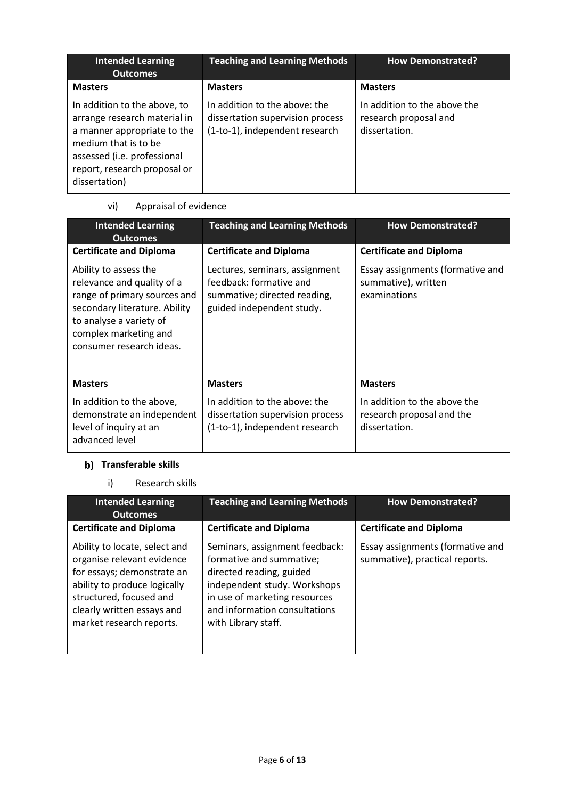| <b>Intended Learning</b><br><b>Outcomes</b>                                                                                                                                                         | <b>Teaching and Learning Methods</b>                                                                | <b>How Demonstrated?</b>                                               |
|-----------------------------------------------------------------------------------------------------------------------------------------------------------------------------------------------------|-----------------------------------------------------------------------------------------------------|------------------------------------------------------------------------|
| <b>Masters</b>                                                                                                                                                                                      | <b>Masters</b>                                                                                      | <b>Masters</b>                                                         |
| In addition to the above, to<br>arrange research material in<br>a manner appropriate to the<br>medium that is to be<br>assessed (i.e. professional<br>report, research proposal or<br>dissertation) | In addition to the above: the<br>dissertation supervision process<br>(1-to-1), independent research | In addition to the above the<br>research proposal and<br>dissertation. |

# vi) Appraisal of evidence

| <b>Intended Learning</b><br><b>Outcomes</b>                                                                                                                                                          | <b>Teaching and Learning Methods</b>                                                                                   | <b>How Demonstrated?</b>                                                   |
|------------------------------------------------------------------------------------------------------------------------------------------------------------------------------------------------------|------------------------------------------------------------------------------------------------------------------------|----------------------------------------------------------------------------|
| <b>Certificate and Diploma</b>                                                                                                                                                                       | <b>Certificate and Diploma</b>                                                                                         | <b>Certificate and Diploma</b>                                             |
| Ability to assess the<br>relevance and quality of a<br>range of primary sources and<br>secondary literature. Ability<br>to analyse a variety of<br>complex marketing and<br>consumer research ideas. | Lectures, seminars, assignment<br>feedback: formative and<br>summative; directed reading,<br>guided independent study. | Essay assignments (formative and<br>summative), written<br>examinations    |
| <b>Masters</b>                                                                                                                                                                                       | <b>Masters</b>                                                                                                         | <b>Masters</b>                                                             |
| In addition to the above,<br>demonstrate an independent<br>level of inquiry at an<br>advanced level                                                                                                  | In addition to the above: the<br>dissertation supervision process<br>(1-to-1), independent research                    | In addition to the above the<br>research proposal and the<br>dissertation. |

# **Transferable skills**

i) Research skills

| <b>Intended Learning</b><br><b>Outcomes</b>                                                                                                                                                                    | <b>Teaching and Learning Methods</b>                                                                                                                                                                            | <b>How Demonstrated?</b>                                           |
|----------------------------------------------------------------------------------------------------------------------------------------------------------------------------------------------------------------|-----------------------------------------------------------------------------------------------------------------------------------------------------------------------------------------------------------------|--------------------------------------------------------------------|
| <b>Certificate and Diploma</b>                                                                                                                                                                                 | <b>Certificate and Diploma</b>                                                                                                                                                                                  | <b>Certificate and Diploma</b>                                     |
| Ability to locate, select and<br>organise relevant evidence<br>for essays; demonstrate an<br>ability to produce logically<br>structured, focused and<br>clearly written essays and<br>market research reports. | Seminars, assignment feedback:<br>formative and summative;<br>directed reading, guided<br>independent study. Workshops<br>in use of marketing resources<br>and information consultations<br>with Library staff. | Essay assignments (formative and<br>summative), practical reports. |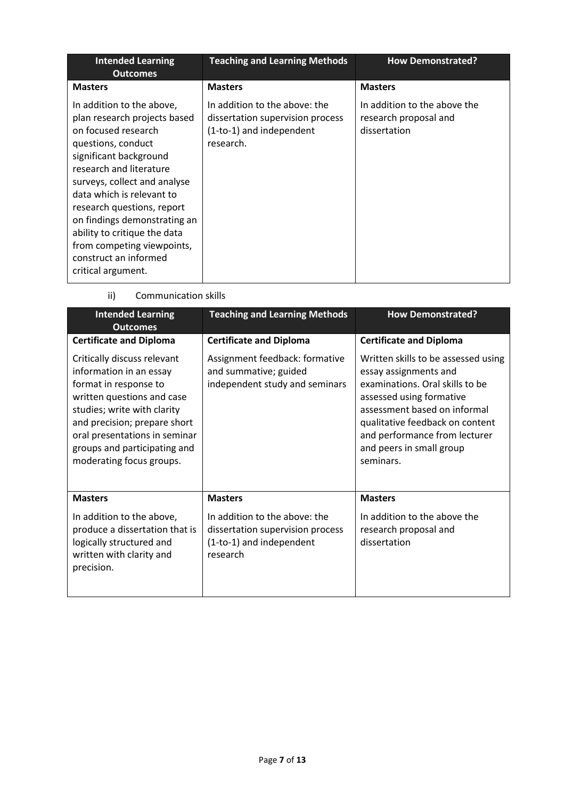| <b>Intended Learning</b><br><b>Outcomes</b>                                                                                                                                                                                                                                                                                                                                                         | <b>Teaching and Learning Methods</b>                                                                       | <b>How Demonstrated?</b>                                              |
|-----------------------------------------------------------------------------------------------------------------------------------------------------------------------------------------------------------------------------------------------------------------------------------------------------------------------------------------------------------------------------------------------------|------------------------------------------------------------------------------------------------------------|-----------------------------------------------------------------------|
| <b>Masters</b>                                                                                                                                                                                                                                                                                                                                                                                      | <b>Masters</b>                                                                                             | <b>Masters</b>                                                        |
| In addition to the above,<br>plan research projects based<br>on focused research<br>questions, conduct<br>significant background<br>research and literature<br>surveys, collect and analyse<br>data which is relevant to<br>research questions, report<br>on findings demonstrating an<br>ability to critique the data<br>from competing viewpoints,<br>construct an informed<br>critical argument. | In addition to the above: the<br>dissertation supervision process<br>(1-to-1) and independent<br>research. | In addition to the above the<br>research proposal and<br>dissertation |

ii) Communication skills

| <b>Intended Learning</b><br><b>Outcomes</b>                                                                                                                                                                                                                               | <b>Teaching and Learning Methods</b>                                                                      | <b>How Demonstrated?</b>                                                                                                                                                                                                                                                 |  |
|---------------------------------------------------------------------------------------------------------------------------------------------------------------------------------------------------------------------------------------------------------------------------|-----------------------------------------------------------------------------------------------------------|--------------------------------------------------------------------------------------------------------------------------------------------------------------------------------------------------------------------------------------------------------------------------|--|
| <b>Certificate and Diploma</b>                                                                                                                                                                                                                                            | <b>Certificate and Diploma</b>                                                                            | <b>Certificate and Diploma</b>                                                                                                                                                                                                                                           |  |
| Critically discuss relevant<br>information in an essay<br>format in response to<br>written questions and case<br>studies; write with clarity<br>and precision; prepare short<br>oral presentations in seminar<br>groups and participating and<br>moderating focus groups. | Assignment feedback: formative<br>and summative; guided<br>independent study and seminars                 | Written skills to be assessed using<br>essay assignments and<br>examinations. Oral skills to be<br>assessed using formative<br>assessment based on informal<br>qualitative feedback on content<br>and performance from lecturer<br>and peers in small group<br>seminars. |  |
| <b>Masters</b>                                                                                                                                                                                                                                                            | <b>Masters</b>                                                                                            | <b>Masters</b>                                                                                                                                                                                                                                                           |  |
| In addition to the above,<br>produce a dissertation that is<br>logically structured and<br>written with clarity and<br>precision.                                                                                                                                         | In addition to the above: the<br>dissertation supervision process<br>(1-to-1) and independent<br>research | In addition to the above the<br>research proposal and<br>dissertation                                                                                                                                                                                                    |  |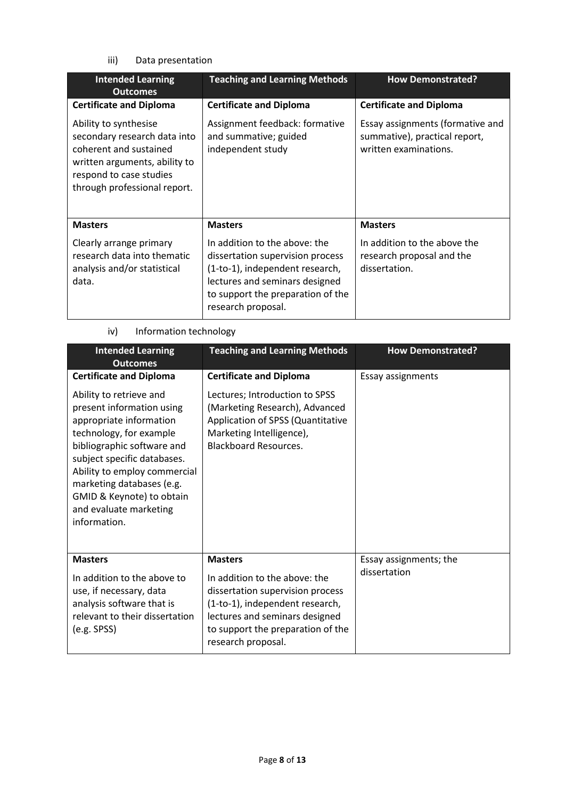iii) Data presentation

| <b>Intended Learning</b><br><b>Outcomes</b>                                                                                                                                 | <b>Teaching and Learning Methods</b>                                                                                                                                                              | <b>How Demonstrated?</b>                                                                   |  |
|-----------------------------------------------------------------------------------------------------------------------------------------------------------------------------|---------------------------------------------------------------------------------------------------------------------------------------------------------------------------------------------------|--------------------------------------------------------------------------------------------|--|
| <b>Certificate and Diploma</b>                                                                                                                                              | <b>Certificate and Diploma</b>                                                                                                                                                                    | <b>Certificate and Diploma</b>                                                             |  |
| Ability to synthesise<br>secondary research data into<br>coherent and sustained<br>written arguments, ability to<br>respond to case studies<br>through professional report. | Assignment feedback: formative<br>and summative; guided<br>independent study                                                                                                                      | Essay assignments (formative and<br>summative), practical report,<br>written examinations. |  |
| <b>Masters</b>                                                                                                                                                              | <b>Masters</b>                                                                                                                                                                                    | <b>Masters</b>                                                                             |  |
| Clearly arrange primary<br>research data into thematic<br>analysis and/or statistical<br>data.                                                                              | In addition to the above: the<br>dissertation supervision process<br>(1-to-1), independent research,<br>lectures and seminars designed<br>to support the preparation of the<br>research proposal. | In addition to the above the<br>research proposal and the<br>dissertation.                 |  |

# iv) Information technology

| <b>Intended Learning</b><br><b>Outcomes</b>                                                                                                                                                                                                                                                                 | <b>Teaching and Learning Methods</b>                                                                                                                                                              | <b>How Demonstrated?</b> |
|-------------------------------------------------------------------------------------------------------------------------------------------------------------------------------------------------------------------------------------------------------------------------------------------------------------|---------------------------------------------------------------------------------------------------------------------------------------------------------------------------------------------------|--------------------------|
| <b>Certificate and Diploma</b>                                                                                                                                                                                                                                                                              | <b>Certificate and Diploma</b>                                                                                                                                                                    | Essay assignments        |
| Ability to retrieve and<br>present information using<br>appropriate information<br>technology, for example<br>bibliographic software and<br>subject specific databases.<br>Ability to employ commercial<br>marketing databases (e.g.<br>GMID & Keynote) to obtain<br>and evaluate marketing<br>information. | Lectures; Introduction to SPSS<br>(Marketing Research), Advanced<br>Application of SPSS (Quantitative<br>Marketing Intelligence),<br><b>Blackboard Resources.</b>                                 |                          |
| <b>Masters</b>                                                                                                                                                                                                                                                                                              | <b>Masters</b>                                                                                                                                                                                    | Essay assignments; the   |
| In addition to the above to<br>use, if necessary, data<br>analysis software that is<br>relevant to their dissertation<br>(e.g. SPSS)                                                                                                                                                                        | In addition to the above: the<br>dissertation supervision process<br>(1-to-1), independent research,<br>lectures and seminars designed<br>to support the preparation of the<br>research proposal. | dissertation             |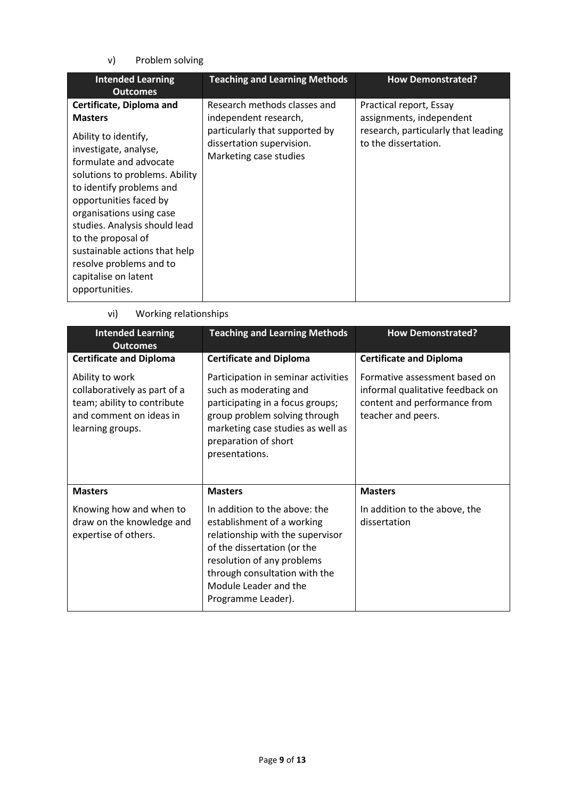v) Problem solving

| <b>Intended Learning</b><br><b>Outcomes</b>                                                                                                                                                                                                                                                                                                                                                            | <b>Teaching and Learning Methods</b>                                                                                                           | <b>How Demonstrated?</b>                                                                                           |
|--------------------------------------------------------------------------------------------------------------------------------------------------------------------------------------------------------------------------------------------------------------------------------------------------------------------------------------------------------------------------------------------------------|------------------------------------------------------------------------------------------------------------------------------------------------|--------------------------------------------------------------------------------------------------------------------|
| Certificate, Diploma and<br><b>Masters</b><br>Ability to identify,<br>investigate, analyse,<br>formulate and advocate<br>solutions to problems. Ability<br>to identify problems and<br>opportunities faced by<br>organisations using case<br>studies. Analysis should lead<br>to the proposal of<br>sustainable actions that help<br>resolve problems and to<br>capitalise on latent<br>opportunities. | Research methods classes and<br>independent research,<br>particularly that supported by<br>dissertation supervision.<br>Marketing case studies | Practical report, Essay<br>assignments, independent<br>research, particularly that leading<br>to the dissertation. |

vi) Working relationships

| <b>Intended Learning</b><br><b>Outcomes</b>                                                                                   | <b>Teaching and Learning Methods</b>                                                                                                                                                                                                         | <b>How Demonstrated?</b>                                                                                                |  |
|-------------------------------------------------------------------------------------------------------------------------------|----------------------------------------------------------------------------------------------------------------------------------------------------------------------------------------------------------------------------------------------|-------------------------------------------------------------------------------------------------------------------------|--|
| <b>Certificate and Diploma</b>                                                                                                | <b>Certificate and Diploma</b>                                                                                                                                                                                                               | <b>Certificate and Diploma</b>                                                                                          |  |
| Ability to work<br>collaboratively as part of a<br>team; ability to contribute<br>and comment on ideas in<br>learning groups. | Participation in seminar activities<br>such as moderating and<br>participating in a focus groups;<br>group problem solving through<br>marketing case studies as well as<br>preparation of short<br>presentations.                            | Formative assessment based on<br>informal qualitative feedback on<br>content and performance from<br>teacher and peers. |  |
| <b>Masters</b>                                                                                                                | <b>Masters</b>                                                                                                                                                                                                                               | <b>Masters</b>                                                                                                          |  |
| Knowing how and when to<br>draw on the knowledge and<br>expertise of others.                                                  | In addition to the above: the<br>establishment of a working<br>relationship with the supervisor<br>of the dissertation (or the<br>resolution of any problems<br>through consultation with the<br>Module Leader and the<br>Programme Leader). | In addition to the above, the<br>dissertation                                                                           |  |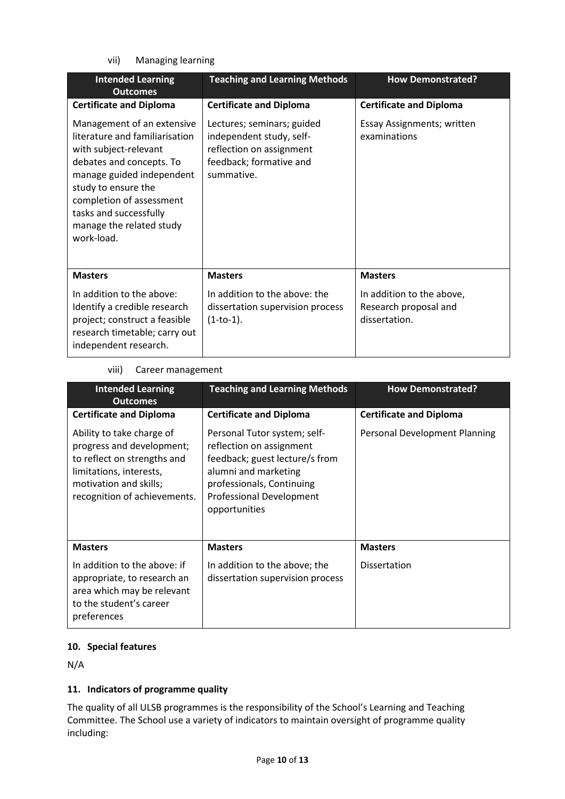vii) Managing learning

| <b>Intended Learning</b><br><b>Outcomes</b>                                                                                                                                                                                                                           | <b>Teaching and Learning Methods</b>                                                                                        | <b>How Demonstrated?</b>                                            |  |
|-----------------------------------------------------------------------------------------------------------------------------------------------------------------------------------------------------------------------------------------------------------------------|-----------------------------------------------------------------------------------------------------------------------------|---------------------------------------------------------------------|--|
| <b>Certificate and Diploma</b>                                                                                                                                                                                                                                        | <b>Certificate and Diploma</b>                                                                                              | <b>Certificate and Diploma</b>                                      |  |
| Management of an extensive<br>literature and familiarisation<br>with subject-relevant<br>debates and concepts. To<br>manage guided independent<br>study to ensure the<br>completion of assessment<br>tasks and successfully<br>manage the related study<br>work-load. | Lectures; seminars; guided<br>independent study, self-<br>reflection on assignment<br>feedback; formative and<br>summative. | <b>Essay Assignments; written</b><br>examinations                   |  |
| <b>Masters</b>                                                                                                                                                                                                                                                        | <b>Masters</b>                                                                                                              | <b>Masters</b>                                                      |  |
| In addition to the above:<br>Identify a credible research<br>project; construct a feasible<br>research timetable; carry out<br>independent research.                                                                                                                  | In addition to the above: the<br>dissertation supervision process<br>$(1-to-1).$                                            | In addition to the above,<br>Research proposal and<br>dissertation. |  |

### viii) Career management

| <b>Intended Learning</b><br><b>Outcomes</b>                                                                                                                                | <b>Teaching and Learning Methods</b>                                                                                                                                                                | <b>How Demonstrated?</b>       |  |
|----------------------------------------------------------------------------------------------------------------------------------------------------------------------------|-----------------------------------------------------------------------------------------------------------------------------------------------------------------------------------------------------|--------------------------------|--|
| <b>Certificate and Diploma</b>                                                                                                                                             | <b>Certificate and Diploma</b>                                                                                                                                                                      | <b>Certificate and Diploma</b> |  |
| Ability to take charge of<br>progress and development;<br>to reflect on strengths and<br>limitations, interests,<br>motivation and skills;<br>recognition of achievements. | Personal Tutor system; self-<br>reflection on assignment<br>feedback; guest lecture/s from<br>alumni and marketing<br>professionals, Continuing<br><b>Professional Development</b><br>opportunities | Personal Development Planning  |  |
| <b>Masters</b>                                                                                                                                                             | <b>Masters</b>                                                                                                                                                                                      | <b>Masters</b>                 |  |
| In addition to the above: if<br>appropriate, to research an<br>area which may be relevant<br>to the student's career<br>preferences                                        | In addition to the above; the<br>dissertation supervision process                                                                                                                                   | <b>Dissertation</b>            |  |

## **10. Special features**

N/A

## **11. Indicators of programme quality**

The quality of all ULSB programmes is the responsibility of the School's Learning and Teaching Committee. The School use a variety of indicators to maintain oversight of programme quality including: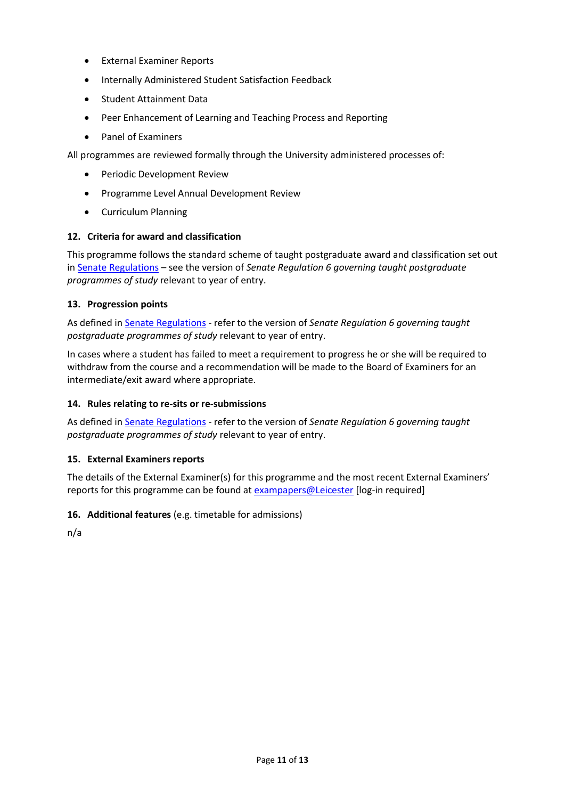- External Examiner Reports
- **Internally Administered Student Satisfaction Feedback**
- Student Attainment Data
- Peer Enhancement of Learning and Teaching Process and Reporting
- Panel of Examiners

All programmes are reviewed formally through the University administered processes of:

- Periodic Development Review
- Programme Level Annual Development Review
- Curriculum Planning

## **12. Criteria for award and classification**

This programme follows the standard scheme of taught postgraduate award and classification set out i[n Senate Regulations](http://www.le.ac.uk/senate-regulations) – see the version of *Senate Regulation 6 governing taught postgraduate programmes of study* relevant to year of entry.

### **13. Progression points**

As defined i[n Senate Regulations](http://www.le.ac.uk/senate-regulation6) - refer to the version of *Senate Regulation 6 governing taught postgraduate programmes of study* relevant to year of entry.

In cases where a student has failed to meet a requirement to progress he or she will be required to withdraw from the course and a recommendation will be made to the Board of Examiners for an intermediate/exit award where appropriate.

## **14. Rules relating to re-sits or re-submissions**

As defined i[n Senate Regulations](http://www.le.ac.uk/senate-regulation6) - refer to the version of *Senate Regulation 6 governing taught postgraduate programmes of study* relevant to year of entry.

## **15. External Examiners reports**

The details of the External Examiner(s) for this programme and the most recent External Examiners' reports for this programme can be found at **exampapers@Leicester** [log-in required]

## **16. Additional features** (e.g. timetable for admissions)

n/a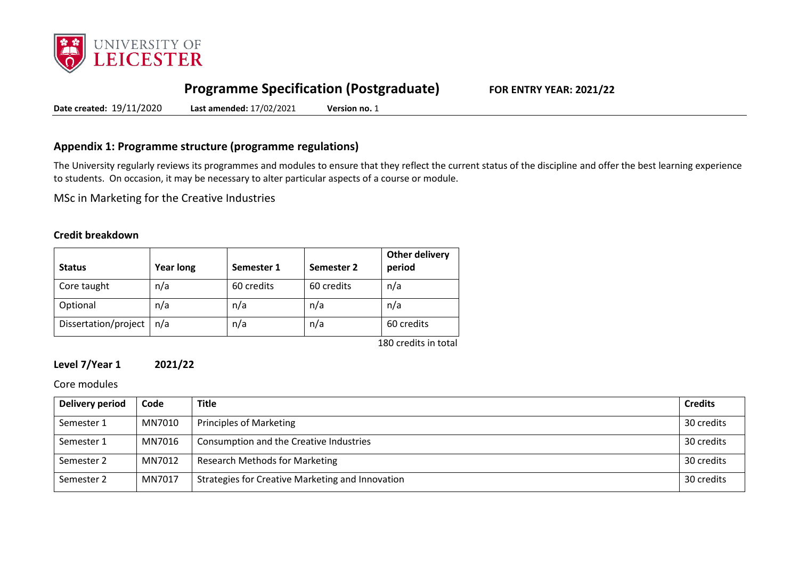

# **Programme Specification (Postgraduate) FOR ENTRY YEAR: 2021/22**

**Date created:** 19/11/2020 **Last amended:** 17/02/2021 **Version no.** 1

## **Appendix 1: Programme structure (programme regulations)**

The University regularly reviews its programmes and modules to ensure that they reflect the current status of the discipline and offer the best learning experience to students. On occasion, it may be necessary to alter particular aspects of a course or module.

MSc in Marketing for the Creative Industries

## **Credit breakdown**

| <b>Status</b>        | <b>Year long</b> | Semester 1 | Semester 2 | Other delivery<br>period |
|----------------------|------------------|------------|------------|--------------------------|
| Core taught          | n/a              | 60 credits | 60 credits | n/a                      |
| Optional             | n/a              | n/a        | n/a        | n/a                      |
| Dissertation/project | n/a              | n/a        | n/a        | 60 credits               |

180 credits in total

## **Level 7/Year 1 2021/22**

### Core modules

| Delivery period | Code   | <b>Title</b>                                     | <b>Credits</b> |
|-----------------|--------|--------------------------------------------------|----------------|
| Semester 1      | MN7010 | Principles of Marketing                          | 30 credits     |
| Semester 1      | MN7016 | Consumption and the Creative Industries          | 30 credits     |
| Semester 2      | MN7012 | <b>Research Methods for Marketing</b>            | 30 credits     |
| Semester 2      | MN7017 | Strategies for Creative Marketing and Innovation | 30 credits     |